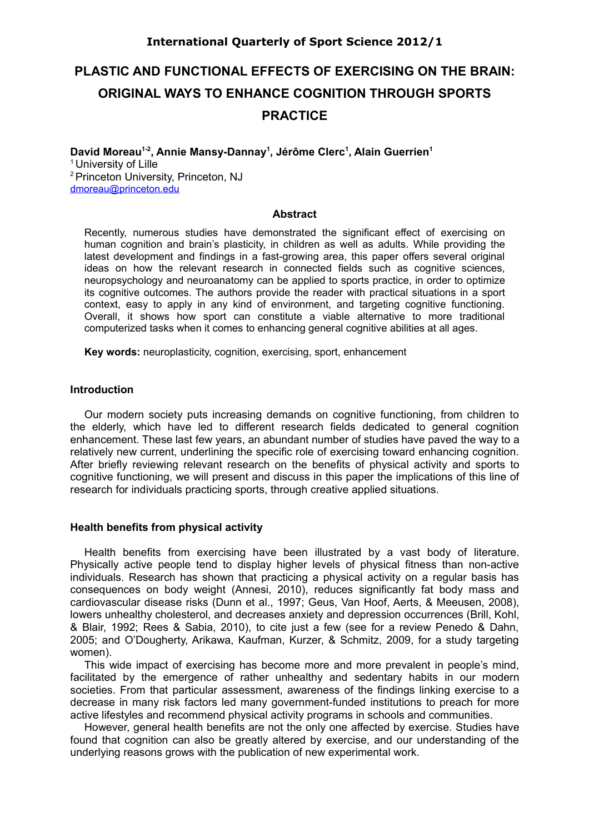# **International Quarterly of Sport Science 2012/1**

# **PLASTIC AND FUNCTIONAL EFFECTS OF EXERCISING ON THE BRAIN: ORIGINAL WAYS TO ENHANCE COGNITION THROUGH SPORTS PRACTICE**

**David Moreau1-2, Annie Mansy-Dannay<sup>1</sup> , Jérôme Clerc<sup>1</sup> , Alain Guerrien<sup>1</sup>** <sup>1</sup> University of Lille <sup>2</sup> Princeton University, Princeton, NJ [dmoreau@princeton.edu](mailto:dmoreau@princeton.edu)

# **Abstract**

Recently, numerous studies have demonstrated the significant effect of exercising on human cognition and brain's plasticity, in children as well as adults. While providing the latest development and findings in a fast-growing area, this paper offers several original ideas on how the relevant research in connected fields such as cognitive sciences, neuropsychology and neuroanatomy can be applied to sports practice, in order to optimize its cognitive outcomes. The authors provide the reader with practical situations in a sport context, easy to apply in any kind of environment, and targeting cognitive functioning. Overall, it shows how sport can constitute a viable alternative to more traditional computerized tasks when it comes to enhancing general cognitive abilities at all ages.

**Key words:** neuroplasticity, cognition, exercising, sport, enhancement

# **Introduction**

Our modern society puts increasing demands on cognitive functioning, from children to the elderly, which have led to different research fields dedicated to general cognition enhancement. These last few years, an abundant number of studies have paved the way to a relatively new current, underlining the specific role of exercising toward enhancing cognition. After briefly reviewing relevant research on the benefits of physical activity and sports to cognitive functioning, we will present and discuss in this paper the implications of this line of research for individuals practicing sports, through creative applied situations.

## **Health benefits from physical activity**

Health benefits from exercising have been illustrated by a vast body of literature. Physically active people tend to display higher levels of physical fitness than non-active individuals. Research has shown that practicing a physical activity on a regular basis has consequences on body weight (Annesi, 2010), reduces significantly fat body mass and cardiovascular disease risks (Dunn et al., 1997; Geus, Van Hoof, Aerts, & Meeusen, 2008), lowers unhealthy cholesterol, and decreases anxiety and depression occurrences (Brill, Kohl, & Blair, 1992; Rees & Sabia, 2010), to cite just a few (see for a review Penedo & Dahn, 2005; and O'Dougherty, Arikawa, Kaufman, Kurzer, & Schmitz, 2009, for a study targeting women).

This wide impact of exercising has become more and more prevalent in people's mind, facilitated by the emergence of rather unhealthy and sedentary habits in our modern societies. From that particular assessment, awareness of the findings linking exercise to a decrease in many risk factors led many government-funded institutions to preach for more active lifestyles and recommend physical activity programs in schools and communities.

However, general health benefits are not the only one affected by exercise. Studies have found that cognition can also be greatly altered by exercise, and our understanding of the underlying reasons grows with the publication of new experimental work.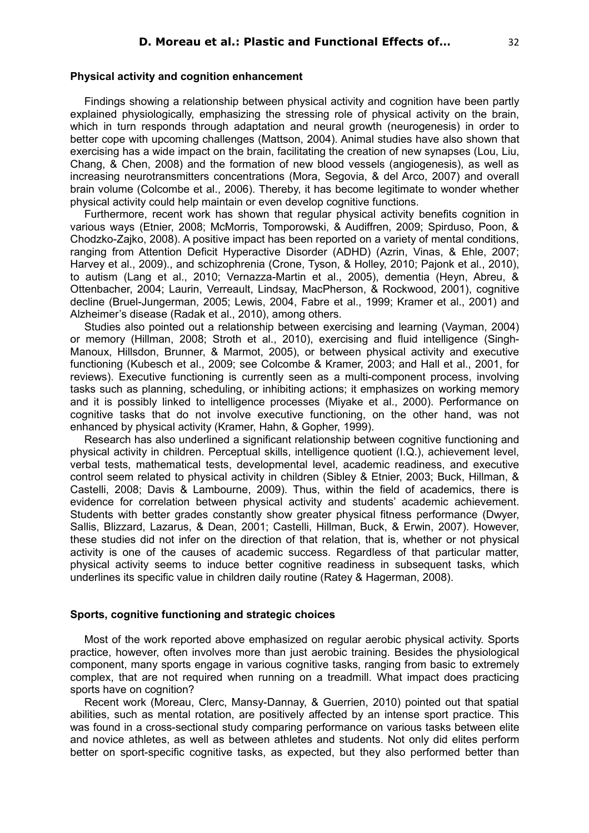# **Physical activity and cognition enhancement**

Findings showing a relationship between physical activity and cognition have been partly explained physiologically, emphasizing the stressing role of physical activity on the brain, which in turn responds through adaptation and neural growth (neurogenesis) in order to better cope with upcoming challenges (Mattson, 2004). Animal studies have also shown that exercising has a wide impact on the brain, facilitating the creation of new synapses (Lou, Liu, Chang, & Chen, 2008) and the formation of new blood vessels (angiogenesis), as well as increasing neurotransmitters concentrations (Mora, Segovia, & del Arco, 2007) and overall brain volume (Colcombe et al., 2006). Thereby, it has become legitimate to wonder whether physical activity could help maintain or even develop cognitive functions.

Furthermore, recent work has shown that regular physical activity benefits cognition in various ways (Etnier, 2008; McMorris, Tomporowski, & Audiffren, 2009; Spirduso, Poon, & Chodzko-Zajko, 2008). A positive impact has been reported on a variety of mental conditions, ranging from Attention Deficit Hyperactive Disorder (ADHD) (Azrin, Vinas, & Ehle, 2007; Harvey et al., 2009)., and schizophrenia (Crone, Tyson, & Holley, 2010; Pajonk et al., 2010), to autism (Lang et al., 2010; Vernazza-Martin et al., 2005), dementia (Heyn, Abreu, & Ottenbacher, 2004; Laurin, Verreault, Lindsay, MacPherson, & Rockwood, 2001), cognitive decline (Bruel-Jungerman, 2005; Lewis, 2004, Fabre et al., 1999; Kramer et al., 2001) and Alzheimer's disease (Radak et al., 2010), among others.

Studies also pointed out a relationship between exercising and learning (Vayman, 2004) or memory (Hillman, 2008; Stroth et al., 2010), exercising and fluid intelligence (Singh-Manoux, Hillsdon, Brunner, & Marmot, 2005), or between physical activity and executive functioning (Kubesch et al., 2009; see Colcombe & Kramer, 2003; and Hall et al., 2001, for reviews). Executive functioning is currently seen as a multi-component process, involving tasks such as planning, scheduling, or inhibiting actions; it emphasizes on working memory and it is possibly linked to intelligence processes (Miyake et al., 2000). Performance on cognitive tasks that do not involve executive functioning, on the other hand, was not enhanced by physical activity (Kramer, Hahn, & Gopher, 1999).

Research has also underlined a significant relationship between cognitive functioning and physical activity in children. Perceptual skills, intelligence quotient (I.Q.), achievement level, verbal tests, mathematical tests, developmental level, academic readiness, and executive control seem related to physical activity in children (Sibley & Etnier, 2003; Buck, Hillman, & Castelli, 2008; Davis & Lambourne, 2009). Thus, within the field of academics, there is evidence for correlation between physical activity and students' academic achievement. Students with better grades constantly show greater physical fitness performance (Dwyer, Sallis, Blizzard, Lazarus, & Dean, 2001; Castelli, Hillman, Buck, & Erwin, 2007). However, these studies did not infer on the direction of that relation, that is, whether or not physical activity is one of the causes of academic success. Regardless of that particular matter, physical activity seems to induce better cognitive readiness in subsequent tasks, which underlines its specific value in children daily routine (Ratey & Hagerman, 2008).

# **Sports, cognitive functioning and strategic choices**

Most of the work reported above emphasized on regular aerobic physical activity. Sports practice, however, often involves more than just aerobic training. Besides the physiological component, many sports engage in various cognitive tasks, ranging from basic to extremely complex, that are not required when running on a treadmill. What impact does practicing sports have on cognition?

Recent work (Moreau, Clerc, Mansy-Dannay, & Guerrien, 2010) pointed out that spatial abilities, such as mental rotation, are positively affected by an intense sport practice. This was found in a cross-sectional study comparing performance on various tasks between elite and novice athletes, as well as between athletes and students. Not only did elites perform better on sport-specific cognitive tasks, as expected, but they also performed better than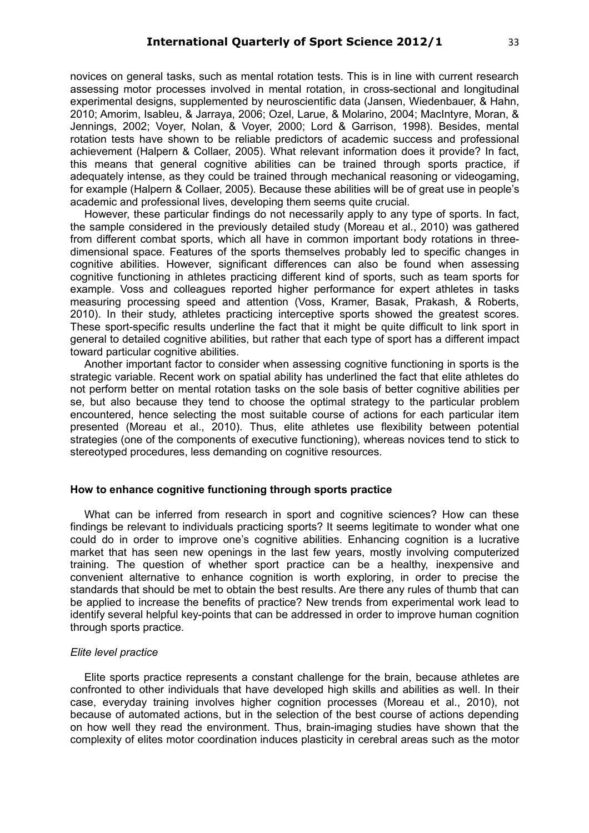novices on general tasks, such as mental rotation tests. This is in line with current research assessing motor processes involved in mental rotation, in cross-sectional and longitudinal experimental designs, supplemented by neuroscientific data (Jansen, Wiedenbauer, & Hahn, 2010; Amorim, Isableu, & Jarraya, 2006; Ozel, Larue, & Molarino, 2004; MacIntyre, Moran, & Jennings, 2002; Voyer, Nolan, & Voyer, 2000; Lord & Garrison, 1998). Besides, mental rotation tests have shown to be reliable predictors of academic success and professional achievement (Halpern & Collaer, 2005). What relevant information does it provide? In fact, this means that general cognitive abilities can be trained through sports practice, if adequately intense, as they could be trained through mechanical reasoning or videogaming, for example (Halpern & Collaer, 2005). Because these abilities will be of great use in people's academic and professional lives, developing them seems quite crucial.

However, these particular findings do not necessarily apply to any type of sports. In fact, the sample considered in the previously detailed study (Moreau et al., 2010) was gathered from different combat sports, which all have in common important body rotations in threedimensional space. Features of the sports themselves probably led to specific changes in cognitive abilities. However, significant differences can also be found when assessing cognitive functioning in athletes practicing different kind of sports, such as team sports for example. Voss and colleagues reported higher performance for expert athletes in tasks measuring processing speed and attention (Voss, Kramer, Basak, Prakash, & Roberts, 2010). In their study, athletes practicing interceptive sports showed the greatest scores. These sport-specific results underline the fact that it might be quite difficult to link sport in general to detailed cognitive abilities, but rather that each type of sport has a different impact toward particular cognitive abilities.

Another important factor to consider when assessing cognitive functioning in sports is the strategic variable. Recent work on spatial ability has underlined the fact that elite athletes do not perform better on mental rotation tasks on the sole basis of better cognitive abilities per se, but also because they tend to choose the optimal strategy to the particular problem encountered, hence selecting the most suitable course of actions for each particular item presented (Moreau et al., 2010). Thus, elite athletes use flexibility between potential strategies (one of the components of executive functioning), whereas novices tend to stick to stereotyped procedures, less demanding on cognitive resources.

# **How to enhance cognitive functioning through sports practice**

What can be inferred from research in sport and cognitive sciences? How can these findings be relevant to individuals practicing sports? It seems legitimate to wonder what one could do in order to improve one's cognitive abilities. Enhancing cognition is a lucrative market that has seen new openings in the last few years, mostly involving computerized training. The question of whether sport practice can be a healthy, inexpensive and convenient alternative to enhance cognition is worth exploring, in order to precise the standards that should be met to obtain the best results. Are there any rules of thumb that can be applied to increase the benefits of practice? New trends from experimental work lead to identify several helpful key-points that can be addressed in order to improve human cognition through sports practice.

# *Elite level practice*

Elite sports practice represents a constant challenge for the brain, because athletes are confronted to other individuals that have developed high skills and abilities as well. In their case, everyday training involves higher cognition processes (Moreau et al., 2010), not because of automated actions, but in the selection of the best course of actions depending on how well they read the environment. Thus, brain-imaging studies have shown that the complexity of elites motor coordination induces plasticity in cerebral areas such as the motor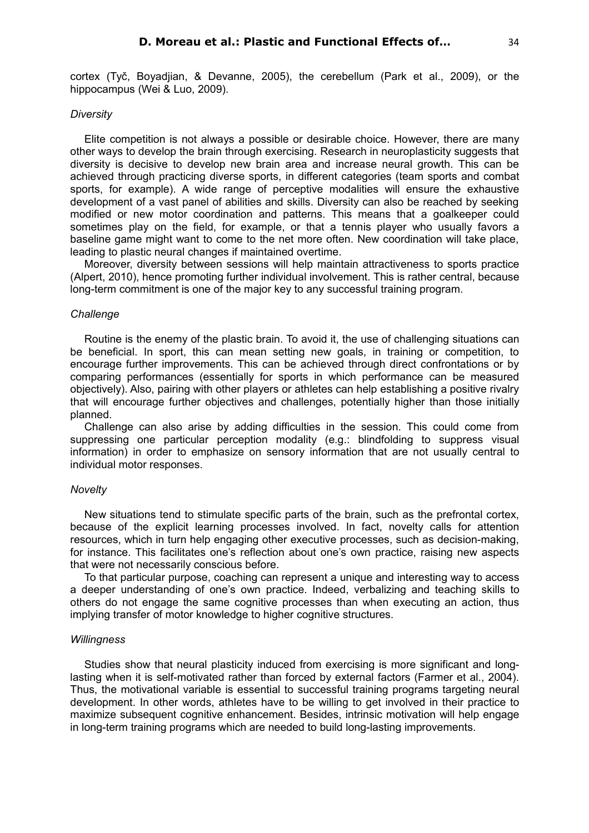cortex (Tyč, Boyadjian, & Devanne, 2005), the cerebellum (Park et al., 2009), or the hippocampus (Wei & Luo, 2009).

## *Diversity*

Elite competition is not always a possible or desirable choice. However, there are many other ways to develop the brain through exercising. Research in neuroplasticity suggests that diversity is decisive to develop new brain area and increase neural growth. This can be achieved through practicing diverse sports, in different categories (team sports and combat sports, for example). A wide range of perceptive modalities will ensure the exhaustive development of a vast panel of abilities and skills. Diversity can also be reached by seeking modified or new motor coordination and patterns. This means that a goalkeeper could sometimes play on the field, for example, or that a tennis player who usually favors a baseline game might want to come to the net more often. New coordination will take place, leading to plastic neural changes if maintained overtime.

Moreover, diversity between sessions will help maintain attractiveness to sports practice (Alpert, 2010), hence promoting further individual involvement. This is rather central, because long-term commitment is one of the major key to any successful training program.

# *Challenge*

Routine is the enemy of the plastic brain. To avoid it, the use of challenging situations can be beneficial. In sport, this can mean setting new goals, in training or competition, to encourage further improvements. This can be achieved through direct confrontations or by comparing performances (essentially for sports in which performance can be measured objectively). Also, pairing with other players or athletes can help establishing a positive rivalry that will encourage further objectives and challenges, potentially higher than those initially planned.

Challenge can also arise by adding difficulties in the session. This could come from suppressing one particular perception modality (e.g.: blindfolding to suppress visual information) in order to emphasize on sensory information that are not usually central to individual motor responses.

#### *Novelty*

New situations tend to stimulate specific parts of the brain, such as the prefrontal cortex, because of the explicit learning processes involved. In fact, novelty calls for attention resources, which in turn help engaging other executive processes, such as decision-making, for instance. This facilitates one's reflection about one's own practice, raising new aspects that were not necessarily conscious before.

To that particular purpose, coaching can represent a unique and interesting way to access a deeper understanding of one's own practice. Indeed, verbalizing and teaching skills to others do not engage the same cognitive processes than when executing an action, thus implying transfer of motor knowledge to higher cognitive structures.

#### *Willingness*

Studies show that neural plasticity induced from exercising is more significant and longlasting when it is self-motivated rather than forced by external factors (Farmer et al., 2004). Thus, the motivational variable is essential to successful training programs targeting neural development. In other words, athletes have to be willing to get involved in their practice to maximize subsequent cognitive enhancement. Besides, intrinsic motivation will help engage in long-term training programs which are needed to build long-lasting improvements.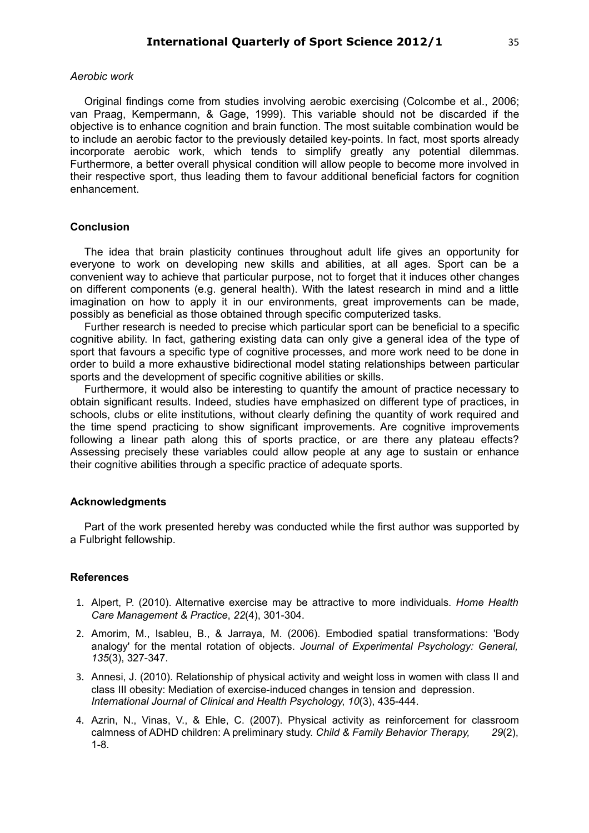## *Aerobic work*

Original findings come from studies involving aerobic exercising (Colcombe et al., 2006; van Praag, Kempermann, & Gage, 1999). This variable should not be discarded if the objective is to enhance cognition and brain function. The most suitable combination would be to include an aerobic factor to the previously detailed key-points. In fact, most sports already incorporate aerobic work, which tends to simplify greatly any potential dilemmas. Furthermore, a better overall physical condition will allow people to become more involved in their respective sport, thus leading them to favour additional beneficial factors for cognition enhancement.

# **Conclusion**

The idea that brain plasticity continues throughout adult life gives an opportunity for everyone to work on developing new skills and abilities, at all ages. Sport can be a convenient way to achieve that particular purpose, not to forget that it induces other changes on different components (e.g. general health). With the latest research in mind and a little imagination on how to apply it in our environments, great improvements can be made, possibly as beneficial as those obtained through specific computerized tasks.

Further research is needed to precise which particular sport can be beneficial to a specific cognitive ability. In fact, gathering existing data can only give a general idea of the type of sport that favours a specific type of cognitive processes, and more work need to be done in order to build a more exhaustive bidirectional model stating relationships between particular sports and the development of specific cognitive abilities or skills.

Furthermore, it would also be interesting to quantify the amount of practice necessary to obtain significant results. Indeed, studies have emphasized on different type of practices, in schools, clubs or elite institutions, without clearly defining the quantity of work required and the time spend practicing to show significant improvements. Are cognitive improvements following a linear path along this of sports practice, or are there any plateau effects? Assessing precisely these variables could allow people at any age to sustain or enhance their cognitive abilities through a specific practice of adequate sports.

# **Acknowledgments**

Part of the work presented hereby was conducted while the first author was supported by a Fulbright fellowship.

#### **References**

- 1. Alpert, P. (2010). Alternative exercise may be attractive to more individuals. *Home Health Care Management & Practice*, *22*(4), 301-304.
- 2. Amorim, M., Isableu, B., & Jarraya, M. (2006). Embodied spatial transformations: 'Body analogy' for the mental rotation of objects. *Journal of Experimental Psychology: General, 135*(3), 327-347.
- 3. Annesi, J. (2010). Relationship of physical activity and weight loss in women with class II and class III obesity: Mediation of exercise-induced changes in tension and depression. *International Journal of Clinical and Health Psychology*, *10*(3), 435-444.
- 4. Azrin, N., Vinas, V., & Ehle, C. (2007). Physical activity as reinforcement for classroom calmness of ADHD children: A preliminary study. *Child & Family Behavior Therapy, 29*(2), 1-8.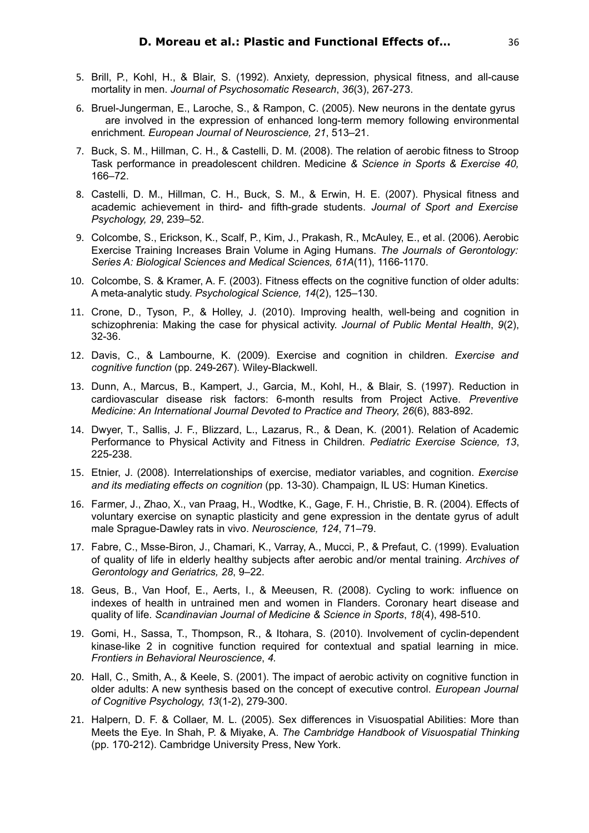- 5. Brill, P., Kohl, H., & Blair, S. (1992). Anxiety, depression, physical fitness, and all-cause mortality in men. *Journal of Psychosomatic Research*, *36*(3), 267-273.
- 6. Bruel-Jungerman, E., Laroche, S., & Rampon, C. (2005). New neurons in the dentate gyrus are involved in the expression of enhanced long-term memory following environmental enrichment*. European Journal of Neuroscience, 21*, 513–21.
- 7. Buck, S. M., Hillman, C. H., & Castelli, D. M. (2008). The relation of aerobic fitness to Stroop Task performance in preadolescent children. Medicine *& Science in Sports & Exercise 40,* 166–72.
- 8. Castelli, D. M., Hillman, C. H., Buck, S. M., & Erwin, H. E. (2007). Physical fitness and academic achievement in third- and fifth-grade students. *Journal of Sport and Exercise Psychology, 29*, 239–52.
- 9. Colcombe, S., Erickson, K., Scalf, P., Kim, J., Prakash, R., McAuley, E., et al. (2006). Aerobic Exercise Training Increases Brain Volume in Aging Humans. *The Journals of Gerontology: Series A: Biological Sciences and Medical Sciences, 61A*(11), 1166-1170.
- 10. Colcombe, S. & Kramer, A. F. (2003). Fitness effects on the cognitive function of older adults: A meta-analytic study. *Psychological Science, 14*(2), 125–130.
- 11. Crone, D., Tyson, P., & Holley, J. (2010). Improving health, well-being and cognition in schizophrenia: Making the case for physical activity. *Journal of Public Mental Health*, *9*(2), 32-36.
- 12. Davis, C., & Lambourne, K. (2009). Exercise and cognition in children. *Exercise and cognitive function* (pp. 249-267). Wiley-Blackwell.
- 13. Dunn, A., Marcus, B., Kampert, J., Garcia, M., Kohl, H., & Blair, S. (1997). Reduction in cardiovascular disease risk factors: 6-month results from Project Active. *Preventive Medicine: An International Journal Devoted to Practice and Theory*, *26*(6), 883-892.
- 14. Dwyer, T., Sallis, J. F., Blizzard, L., Lazarus, R., & Dean, K. (2001). Relation of Academic Performance to Physical Activity and Fitness in Children. *Pediatric Exercise Science, 13*, 225-238.
- 15. Etnier, J. (2008). Interrelationships of exercise, mediator variables, and cognition. *Exercise and its mediating effects on cognition* (pp. 13-30). Champaign, IL US: Human Kinetics.
- 16. Farmer, J., Zhao, X., van Praag, H., Wodtke, K., Gage, F. H., Christie, B. R. (2004). Effects of voluntary exercise on synaptic plasticity and gene expression in the dentate gyrus of adult male Sprague-Dawley rats in vivo. *Neuroscience, 124*, 71–79.
- 17. Fabre, C., Msse-Biron, J., Chamari, K., Varray, A., Mucci, P., & Prefaut, C. (1999). Evaluation of quality of life in elderly healthy subjects after aerobic and/or mental training. *Archives of Gerontology and Geriatrics, 28*, 9–22.
- 18. Geus, B., Van Hoof, E., Aerts, I., & Meeusen, R. (2008). Cycling to work: influence on indexes of health in untrained men and women in Flanders. Coronary heart disease and quality of life. *Scandinavian Journal of Medicine & Science in Sports*, *18*(4), 498-510.
- 19. Gomi, H., Sassa, T., Thompson, R., & Itohara, S. (2010). Involvement of cyclin-dependent kinase-like 2 in cognitive function required for contextual and spatial learning in mice. *Frontiers in Behavioral Neuroscience*, *4.*
- 20. Hall, C., Smith, A., & Keele, S. (2001). The impact of aerobic activity on cognitive function in older adults: A new synthesis based on the concept of executive control. *European Journal of Cognitive Psychology*, *13*(1-2), 279-300.
- 21. Halpern, D. F. & Collaer, M. L. (2005). Sex differences in Visuospatial Abilities: More than Meets the Eye. In Shah, P. & Miyake, A. *The Cambridge Handbook of Visuospatial Thinking* (pp. 170-212). Cambridge University Press, New York.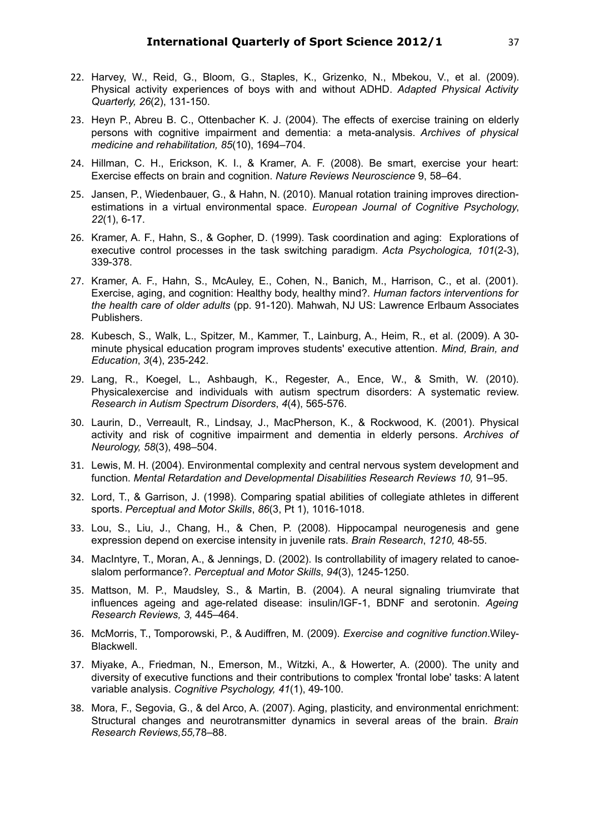- 22. Harvey, W., Reid, G., Bloom, G., Staples, K., Grizenko, N., Mbekou, V., et al. (2009). Physical activity experiences of boys with and without ADHD. *Adapted Physical Activity Quarterly, 26*(2), 131-150.
- 23. Heyn P., Abreu B. C., Ottenbacher K. J. (2004). The effects of exercise training on elderly persons with cognitive impairment and dementia: a meta-analysis. *Archives of physical medicine and rehabilitation, 85*(10), 1694–704.
- 24. Hillman, C. H., Erickson, K. I., & Kramer, A. F. (2008). Be smart, exercise your heart: Exercise effects on brain and cognition. *Nature Reviews Neuroscience* 9, 58–64.
- 25. Jansen, P., Wiedenbauer, G., & Hahn, N. (2010). Manual rotation training improves directionestimations in a virtual environmental space. *European Journal of Cognitive Psychology*, *22*(1), 6-17.
- 26. Kramer, A. F., Hahn, S., & Gopher, D. (1999). Task coordination and aging: Explorations of executive control processes in the task switching paradigm. *Acta Psychologica, 101*(2-3), 339-378.
- 27. Kramer, A. F., Hahn, S., McAuley, E., Cohen, N., Banich, M., Harrison, C., et al. (2001). Exercise, aging, and cognition: Healthy body, healthy mind?. *Human factors interventions for the health care of older adults* (pp. 91-120). Mahwah, NJ US: Lawrence Erlbaum Associates Publishers.
- 28. Kubesch, S., Walk, L., Spitzer, M., Kammer, T., Lainburg, A., Heim, R., et al. (2009). A 30 minute physical education program improves students' executive attention. *Mind, Brain, and Education*, *3*(4), 235-242.
- 29. Lang, R., Koegel, L., Ashbaugh, K., Regester, A., Ence, W., & Smith, W. (2010). Physicalexercise and individuals with autism spectrum disorders: A systematic review. *Research in Autism Spectrum Disorders*, *4*(4), 565-576.
- 30. Laurin, D., Verreault, R., Lindsay, J., MacPherson, K., & Rockwood, K. (2001). Physical activity and risk of cognitive impairment and dementia in elderly persons. *Archives of Neurology, 58*(3), 498–504.
- 31. Lewis, M. H. (2004). Environmental complexity and central nervous system development and function. *Mental Retardation and Developmental Disabilities Research Reviews 10, 91-95.*
- 32. Lord, T., & Garrison, J. (1998). Comparing spatial abilities of collegiate athletes in different sports. *Perceptual and Motor Skills*, *86*(3, Pt 1), 1016-1018.
- 33. Lou, S., Liu, J., Chang, H., & Chen, P. (2008). Hippocampal neurogenesis and gene expression depend on exercise intensity in juvenile rats. *Brain Research*, *1210,* 48-55.
- 34. MacIntyre, T., Moran, A., & Jennings, D. (2002). Is controllability of imagery related to canoeslalom performance?. *Perceptual and Motor Skills*, *94*(3), 1245-1250.
- 35. Mattson, M. P., Maudsley, S., & Martin, B. (2004). A neural signaling triumvirate that influences ageing and age-related disease: insulin/IGF-1, BDNF and serotonin. *Ageing Research Reviews, 3,* 445–464.
- 36. McMorris, T., Tomporowski, P., & Audiffren, M. (2009). *Exercise and cognitive function*.Wiley-Blackwell.
- 37. Miyake, A., Friedman, N., Emerson, M., Witzki, A., & Howerter, A. (2000). The unity and diversity of executive functions and their contributions to complex 'frontal lobe' tasks: A latent variable analysis. *Cognitive Psychology, 41*(1), 49-100.
- 38. Mora, F., Segovia, G., & del Arco, A. (2007). Aging, plasticity, and environmental enrichment: Structural changes and neurotransmitter dynamics in several areas of the brain. *Brain Research Reviews,55,*78–88.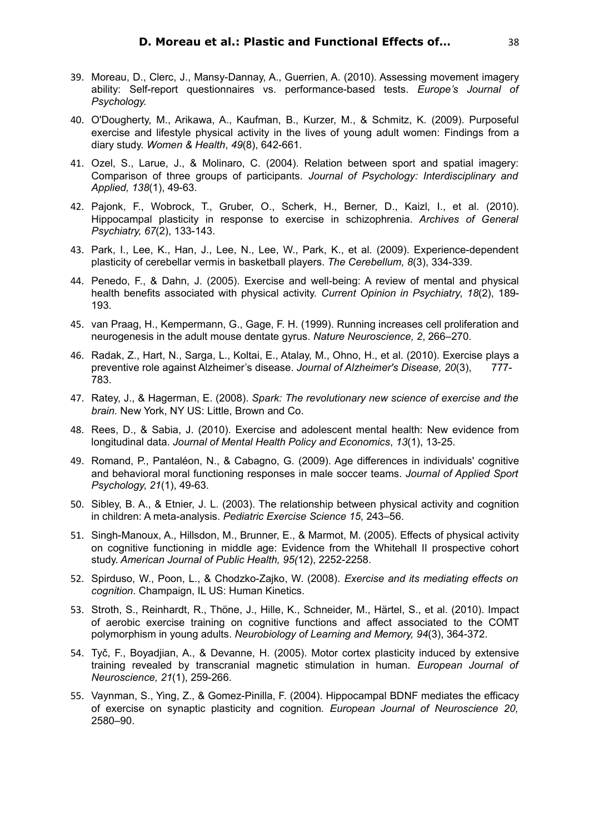- 39. Moreau, D., Clerc, J., Mansy-Dannay, A., Guerrien, A. (2010). Assessing movement imagery ability: Self-report questionnaires vs. performance-based tests. *Europe's Journal of Psychology.*
- 40. O'Dougherty, M., Arikawa, A., Kaufman, B., Kurzer, M., & Schmitz, K. (2009). Purposeful exercise and lifestyle physical activity in the lives of young adult women: Findings from a diary study. *Women & Health*, *49*(8), 642-661.
- 41. Ozel, S., Larue, J., & Molinaro, C. (2004). Relation between sport and spatial imagery: Comparison of three groups of participants. *Journal of Psychology: Interdisciplinary and Applied, 138*(1), 49-63.
- 42. Pajonk, F., Wobrock, T., Gruber, O., Scherk, H., Berner, D., Kaizl, I., et al. (2010). Hippocampal plasticity in response to exercise in schizophrenia. *Archives of General Psychiatry, 67*(2), 133-143.
- 43. Park, I., Lee, K., Han, J., Lee, N., Lee, W., Park, K., et al. (2009). Experience-dependent plasticity of cerebellar vermis in basketball players. *The Cerebellum, 8*(3), 334-339.
- 44. Penedo, F., & Dahn, J. (2005). Exercise and well-being: A review of mental and physical health benefits associated with physical activity. *Current Opinion in Psychiatry*, *18*(2), 189- 193.
- 45. van Praag, H., Kempermann, G., Gage, F. H. (1999). Running increases cell proliferation and neurogenesis in the adult mouse dentate gyrus. *Nature Neuroscience, 2*, 266–270.
- 46. Radak, Z., Hart, N., Sarga, L., Koltai, E., Atalay, M., Ohno, H., et al. (2010). Exercise plays a preventive role against Alzheimer's disease. *Journal of Alzheimer's Disease, 20*(3), 777- 783.
- 47. Ratey, J., & Hagerman, E. (2008). *Spark: The revolutionary new science of exercise and the brain.* New York, NY US: Little, Brown and Co.
- 48. Rees, D., & Sabia, J. (2010). Exercise and adolescent mental health: New evidence from longitudinal data. *Journal of Mental Health Policy and Economics*, *13*(1), 13-25.
- 49. Romand, P., Pantaléon, N., & Cabagno, G. (2009). Age differences in individuals' cognitive and behavioral moral functioning responses in male soccer teams. *Journal of Applied Sport Psychology*, *21*(1), 49-63.
- 50. Sibley, B. A., & Etnier, J. L. (2003). The relationship between physical activity and cognition in children: A meta-analysis. *Pediatric Exercise Science 15*, 243–56.
- 51. Singh-Manoux, A., Hillsdon, M., Brunner, E., & Marmot, M. (2005). Effects of physical activity on cognitive functioning in middle age: Evidence from the Whitehall II prospective cohort study. *American Journal of Public Health, 95(*12), 2252-2258.
- 52. Spirduso, W., Poon, L., & Chodzko-Zajko, W. (2008). *Exercise and its mediating effects on cognition*. Champaign, IL US: Human Kinetics.
- 53. Stroth, S., Reinhardt, R., Thöne, J., Hille, K., Schneider, M., Härtel, S., et al. (2010). Impact of aerobic exercise training on cognitive functions and affect associated to the COMT polymorphism in young adults. *Neurobiology of Learning and Memory, 94*(3), 364-372.
- 54. Tyč, F., Boyadjian, A., & Devanne, H. (2005). Motor cortex plasticity induced by extensive training revealed by transcranial magnetic stimulation in human. *European Journal of Neuroscience, 21*(1), 259-266.
- 55. Vaynman, S., Ying, Z., & Gomez-Pinilla, F. (2004). Hippocampal BDNF mediates the efficacy of exercise on synaptic plasticity and cognition*. European Journal of Neuroscience 20,* 2580–90.